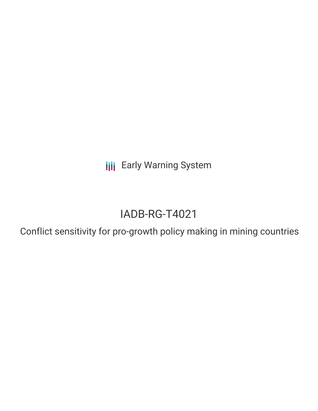**III** Early Warning System

## IADB-RG-T4021

Conflict sensitivity for pro-growth policy making in mining countries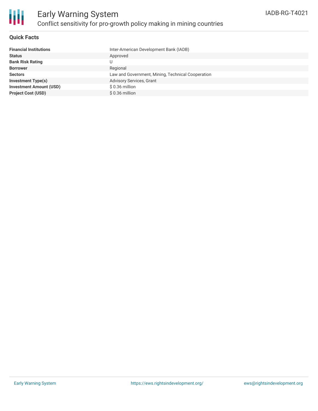

## **Quick Facts**

| <b>Financial Institutions</b>  | Inter-American Development Bank (IADB)            |
|--------------------------------|---------------------------------------------------|
| <b>Status</b>                  | Approved                                          |
| <b>Bank Risk Rating</b>        |                                                   |
| <b>Borrower</b>                | Regional                                          |
| <b>Sectors</b>                 | Law and Government, Mining, Technical Cooperation |
| <b>Investment Type(s)</b>      | <b>Advisory Services, Grant</b>                   |
| <b>Investment Amount (USD)</b> | $$0.36$ million                                   |
| <b>Project Cost (USD)</b>      | $$0.36$ million                                   |
|                                |                                                   |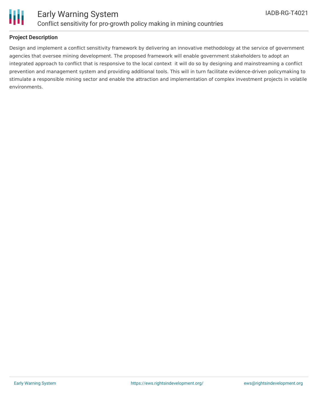

# Ш

## **Project Description**

Design and implement a conflict sensitivity framework by delivering an innovative methodology at the service of government agencies that oversee mining development. The proposed framework will enable government stakeholders to adopt an integrated approach to conflict that is responsive to the local context it will do so by designing and mainstreaming a conflict prevention and management system and providing additional tools. This will in turn facilitate evidence-driven policymaking to stimulate a responsible mining sector and enable the attraction and implementation of complex investment projects in volatile environments.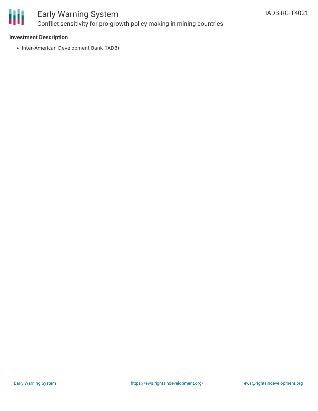

## Early Warning System Conflict sensitivity for pro-growth policy making in mining countries

## **Investment Description**

• Inter-American Development Bank (IADB)